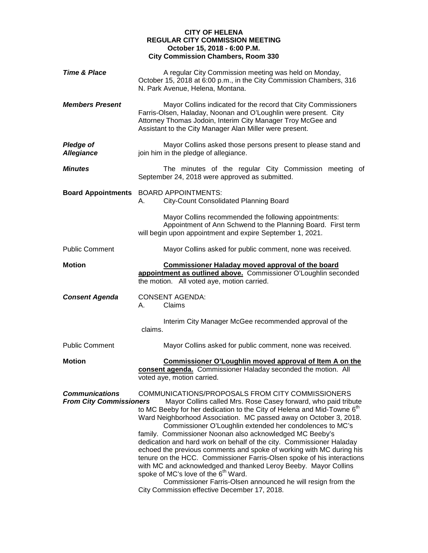## **CITY OF HELENA REGULAR CITY COMMISSION MEETING October 15, 2018 - 6:00 P.M. City Commission Chambers, Room 330**

| <b>Time &amp; Place</b>                                 | A regular City Commission meeting was held on Monday,<br>October 15, 2018 at 6:00 p.m., in the City Commission Chambers, 316<br>N. Park Avenue, Helena, Montana.                                                                                                                                                                                                                                                                                                                                                                                                                                                                                                                                                                                                                                                                                                     |
|---------------------------------------------------------|----------------------------------------------------------------------------------------------------------------------------------------------------------------------------------------------------------------------------------------------------------------------------------------------------------------------------------------------------------------------------------------------------------------------------------------------------------------------------------------------------------------------------------------------------------------------------------------------------------------------------------------------------------------------------------------------------------------------------------------------------------------------------------------------------------------------------------------------------------------------|
| <b>Members Present</b>                                  | Mayor Collins indicated for the record that City Commissioners<br>Farris-Olsen, Haladay, Noonan and O'Loughlin were present. City<br>Attorney Thomas Jodoin, Interim City Manager Troy McGee and<br>Assistant to the City Manager Alan Miller were present.                                                                                                                                                                                                                                                                                                                                                                                                                                                                                                                                                                                                          |
| <b>Pledge of</b><br><b>Allegiance</b>                   | Mayor Collins asked those persons present to please stand and<br>join him in the pledge of allegiance.                                                                                                                                                                                                                                                                                                                                                                                                                                                                                                                                                                                                                                                                                                                                                               |
| <b>Minutes</b>                                          | The minutes of the regular City Commission meeting of<br>September 24, 2018 were approved as submitted.                                                                                                                                                                                                                                                                                                                                                                                                                                                                                                                                                                                                                                                                                                                                                              |
| <b>Board Appointments</b>                               | <b>BOARD APPOINTMENTS:</b><br>City-Count Consolidated Planning Board<br>А.                                                                                                                                                                                                                                                                                                                                                                                                                                                                                                                                                                                                                                                                                                                                                                                           |
|                                                         | Mayor Collins recommended the following appointments:<br>Appointment of Ann Schwend to the Planning Board. First term<br>will begin upon appointment and expire September 1, 2021.                                                                                                                                                                                                                                                                                                                                                                                                                                                                                                                                                                                                                                                                                   |
| <b>Public Comment</b>                                   | Mayor Collins asked for public comment, none was received.                                                                                                                                                                                                                                                                                                                                                                                                                                                                                                                                                                                                                                                                                                                                                                                                           |
| <b>Motion</b>                                           | <b>Commissioner Haladay moved approval of the board</b><br>appointment as outlined above. Commissioner O'Loughlin seconded<br>the motion. All voted aye, motion carried.                                                                                                                                                                                                                                                                                                                                                                                                                                                                                                                                                                                                                                                                                             |
| <b>Consent Agenda</b>                                   | <b>CONSENT AGENDA:</b><br>Claims<br>А.                                                                                                                                                                                                                                                                                                                                                                                                                                                                                                                                                                                                                                                                                                                                                                                                                               |
|                                                         | Interim City Manager McGee recommended approval of the<br>claims.                                                                                                                                                                                                                                                                                                                                                                                                                                                                                                                                                                                                                                                                                                                                                                                                    |
| <b>Public Comment</b>                                   | Mayor Collins asked for public comment, none was received.                                                                                                                                                                                                                                                                                                                                                                                                                                                                                                                                                                                                                                                                                                                                                                                                           |
| <b>Motion</b>                                           | Commissioner O'Loughlin moved approval of Item A on the<br>consent agenda. Commissioner Haladay seconded the motion. All<br>voted aye, motion carried.                                                                                                                                                                                                                                                                                                                                                                                                                                                                                                                                                                                                                                                                                                               |
| <b>Communications</b><br><b>From City Commissioners</b> | COMMUNICATIONS/PROPOSALS FROM CITY COMMISSIONERS<br>Mayor Collins called Mrs. Rose Casey forward, who paid tribute<br>to MC Beeby for her dedication to the City of Helena and Mid-Towne 6 <sup>th</sup><br>Ward Neighborhood Association. MC passed away on October 3, 2018.<br>Commissioner O'Loughlin extended her condolences to MC's<br>family. Commissioner Noonan also acknowledged MC Beeby's<br>dedication and hard work on behalf of the city. Commissioner Haladay<br>echoed the previous comments and spoke of working with MC during his<br>tenure on the HCC. Commissioner Farris-Olsen spoke of his interactions<br>with MC and acknowledged and thanked Leroy Beeby. Mayor Collins<br>spoke of MC's love of the 6 <sup>th</sup> Ward.<br>Commissioner Farris-Olsen announced he will resign from the<br>City Commission effective December 17, 2018. |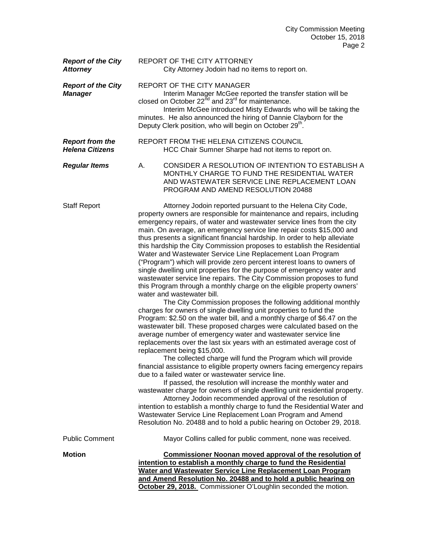| <b>Report of the City</b><br><b>Attorney</b>     | REPORT OF THE CITY ATTORNEY<br>City Attorney Jodoin had no items to report on.                                                                                                                                                                                                                                                                                                                                                                                                                                                                                                                                                                                                                                                                                                                                                                                                                                                                                                                                                                                                                                                                                                                                                                                                                                                                                                                                                                                                                                                                                                                                                                                                                                                                                                                                                                                                                                                                               |
|--------------------------------------------------|--------------------------------------------------------------------------------------------------------------------------------------------------------------------------------------------------------------------------------------------------------------------------------------------------------------------------------------------------------------------------------------------------------------------------------------------------------------------------------------------------------------------------------------------------------------------------------------------------------------------------------------------------------------------------------------------------------------------------------------------------------------------------------------------------------------------------------------------------------------------------------------------------------------------------------------------------------------------------------------------------------------------------------------------------------------------------------------------------------------------------------------------------------------------------------------------------------------------------------------------------------------------------------------------------------------------------------------------------------------------------------------------------------------------------------------------------------------------------------------------------------------------------------------------------------------------------------------------------------------------------------------------------------------------------------------------------------------------------------------------------------------------------------------------------------------------------------------------------------------------------------------------------------------------------------------------------------------|
| <b>Report of the City</b><br><b>Manager</b>      | <b>REPORT OF THE CITY MANAGER</b><br>Interim Manager McGee reported the transfer station will be<br>closed on October 22 <sup>nd</sup> and 23 <sup>rd</sup> for maintenance.<br>Interim McGee introduced Misty Edwards who will be taking the<br>minutes. He also announced the hiring of Dannie Clayborn for the<br>Deputy Clerk position, who will begin on October 29 <sup>th</sup> .                                                                                                                                                                                                                                                                                                                                                                                                                                                                                                                                                                                                                                                                                                                                                                                                                                                                                                                                                                                                                                                                                                                                                                                                                                                                                                                                                                                                                                                                                                                                                                     |
| <b>Report from the</b><br><b>Helena Citizens</b> | REPORT FROM THE HELENA CITIZENS COUNCIL<br>HCC Chair Sumner Sharpe had not items to report on.                                                                                                                                                                                                                                                                                                                                                                                                                                                                                                                                                                                                                                                                                                                                                                                                                                                                                                                                                                                                                                                                                                                                                                                                                                                                                                                                                                                                                                                                                                                                                                                                                                                                                                                                                                                                                                                               |
| <b>Regular Items</b>                             | CONSIDER A RESOLUTION OF INTENTION TO ESTABLISH A<br>А.<br>MONTHLY CHARGE TO FUND THE RESIDENTIAL WATER<br>AND WASTEWATER SERVICE LINE REPLACEMENT LOAN<br>PROGRAM AND AMEND RESOLUTION 20488                                                                                                                                                                                                                                                                                                                                                                                                                                                                                                                                                                                                                                                                                                                                                                                                                                                                                                                                                                                                                                                                                                                                                                                                                                                                                                                                                                                                                                                                                                                                                                                                                                                                                                                                                                |
| <b>Staff Report</b>                              | Attorney Jodoin reported pursuant to the Helena City Code,<br>property owners are responsible for maintenance and repairs, including<br>emergency repairs, of water and wastewater service lines from the city<br>main. On average, an emergency service line repair costs \$15,000 and<br>thus presents a significant financial hardship. In order to help alleviate<br>this hardship the City Commission proposes to establish the Residential<br>Water and Wastewater Service Line Replacement Loan Program<br>("Program") which will provide zero percent interest loans to owners of<br>single dwelling unit properties for the purpose of emergency water and<br>wastewater service line repairs. The City Commission proposes to fund<br>this Program through a monthly charge on the eligible property owners'<br>water and wastewater bill.<br>The City Commission proposes the following additional monthly<br>charges for owners of single dwelling unit properties to fund the<br>Program: \$2.50 on the water bill, and a monthly charge of \$6.47 on the<br>wastewater bill. These proposed charges were calculated based on the<br>average number of emergency water and wastewater service line<br>replacements over the last six years with an estimated average cost of<br>replacement being \$15,000.<br>The collected charge will fund the Program which will provide<br>financial assistance to eligible property owners facing emergency repairs<br>due to a failed water or wastewater service line.<br>If passed, the resolution will increase the monthly water and<br>wastewater charge for owners of single dwelling unit residential property.<br>Attorney Jodoin recommended approval of the resolution of<br>intention to establish a monthly charge to fund the Residential Water and<br>Wastewater Service Line Replacement Loan Program and Amend<br>Resolution No. 20488 and to hold a public hearing on October 29, 2018. |
| <b>Public Comment</b>                            | Mayor Collins called for public comment, none was received.                                                                                                                                                                                                                                                                                                                                                                                                                                                                                                                                                                                                                                                                                                                                                                                                                                                                                                                                                                                                                                                                                                                                                                                                                                                                                                                                                                                                                                                                                                                                                                                                                                                                                                                                                                                                                                                                                                  |
| <b>Motion</b>                                    | <b>Commissioner Noonan moved approval of the resolution of</b><br>intention to establish a monthly charge to fund the Residential<br>Water and Wastewater Service Line Replacement Loan Program<br>and Amend Resolution No. 20488 and to hold a public hearing on<br>October 29, 2018. Commissioner O'Loughlin seconded the motion.                                                                                                                                                                                                                                                                                                                                                                                                                                                                                                                                                                                                                                                                                                                                                                                                                                                                                                                                                                                                                                                                                                                                                                                                                                                                                                                                                                                                                                                                                                                                                                                                                          |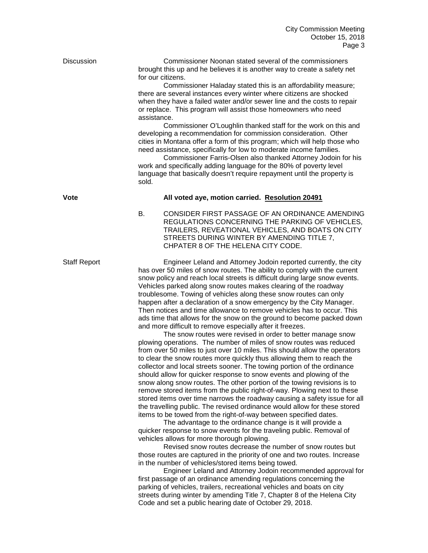Discussion Commissioner Noonan stated several of the commissioners brought this up and he believes it is another way to create a safety net for our citizens.

> Commissioner Haladay stated this is an affordability measure; there are several instances every winter where citizens are shocked when they have a failed water and/or sewer line and the costs to repair or replace. This program will assist those homeowners who need assistance.

Commissioner O'Loughlin thanked staff for the work on this and developing a recommendation for commission consideration. Other cities in Montana offer a form of this program; which will help those who need assistance, specifically for low to moderate income families.

Commissioner Farris-Olsen also thanked Attorney Jodoin for his work and specifically adding language for the 80% of poverty level language that basically doesn't require repayment until the property is sold.

## **Vote All voted aye, motion carried. Resolution 20491**

B. CONSIDER FIRST PASSAGE OF AN ORDINANCE AMENDING REGULATIONS CONCERNING THE PARKING OF VEHICLES, TRAILERS, REVEATIONAL VEHICLES, AND BOATS ON CITY STREETS DURING WINTER BY AMENDING TITLE 7, CHPATER 8 OF THE HELENA CITY CODE.

Staff Report **Engineer Leland and Attorney Jodoin reported currently, the city** has over 50 miles of snow routes. The ability to comply with the current snow policy and reach local streets is difficult during large snow events. Vehicles parked along snow routes makes clearing of the roadway troublesome. Towing of vehicles along these snow routes can only happen after a declaration of a snow emergency by the City Manager. Then notices and time allowance to remove vehicles has to occur. This ads time that allows for the snow on the ground to become packed down and more difficult to remove especially after it freezes.

The snow routes were revised in order to better manage snow plowing operations. The number of miles of snow routes was reduced from over 50 miles to just over 10 miles. This should allow the operators to clear the snow routes more quickly thus allowing them to reach the collector and local streets sooner. The towing portion of the ordinance should allow for quicker response to snow events and plowing of the snow along snow routes. The other portion of the towing revisions is to remove stored items from the public right-of-way. Plowing next to these stored items over time narrows the roadway causing a safety issue for all the travelling public. The revised ordinance would allow for these stored items to be towed from the right-of-way between specified dates.

The advantage to the ordinance change is it will provide a quicker response to snow events for the traveling public. Removal of vehicles allows for more thorough plowing.

Revised snow routes decrease the number of snow routes but those routes are captured in the priority of one and two routes. Increase in the number of vehicles/stored items being towed.

Engineer Leland and Attorney Jodoin recommended approval for first passage of an ordinance amending regulations concerning the parking of vehicles, trailers, recreational vehicles and boats on city streets during winter by amending Title 7, Chapter 8 of the Helena City Code and set a public hearing date of October 29, 2018.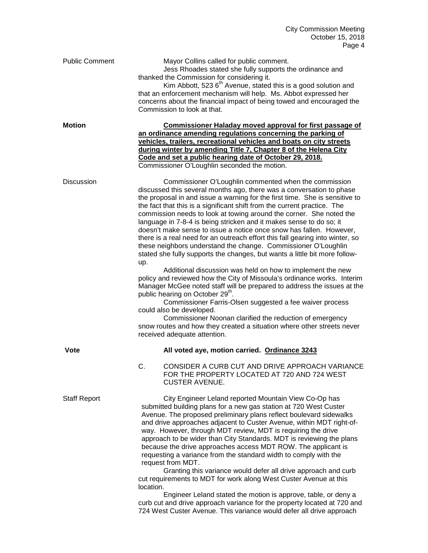| <b>Public Comment</b> | Mayor Collins called for public comment.<br>Jess Rhoades stated she fully supports the ordinance and<br>thanked the Commission for considering it.<br>Kim Abbott, 523 6 <sup>th</sup> Avenue, stated this is a good solution and<br>that an enforcement mechanism will help. Ms. Abbot expressed her<br>concerns about the financial impact of being towed and encouraged the<br>Commission to look at that.                                                                                                                                                                                                                                                                                                                                                                                                                                                                                                                                                                                                                                                                                                                                                                                                                                                                            |
|-----------------------|-----------------------------------------------------------------------------------------------------------------------------------------------------------------------------------------------------------------------------------------------------------------------------------------------------------------------------------------------------------------------------------------------------------------------------------------------------------------------------------------------------------------------------------------------------------------------------------------------------------------------------------------------------------------------------------------------------------------------------------------------------------------------------------------------------------------------------------------------------------------------------------------------------------------------------------------------------------------------------------------------------------------------------------------------------------------------------------------------------------------------------------------------------------------------------------------------------------------------------------------------------------------------------------------|
| <b>Motion</b>         | <b>Commissioner Haladay moved approval for first passage of</b><br>an ordinance amending regulations concerning the parking of<br>vehicles, trailers, recreational vehicles and boats on city streets<br>during winter by amending Title 7, Chapter 8 of the Helena City<br>Code and set a public hearing date of October 29, 2018.<br>Commissioner O'Loughlin seconded the motion.                                                                                                                                                                                                                                                                                                                                                                                                                                                                                                                                                                                                                                                                                                                                                                                                                                                                                                     |
| <b>Discussion</b>     | Commissioner O'Loughlin commented when the commission<br>discussed this several months ago, there was a conversation to phase<br>the proposal in and issue a warning for the first time. She is sensitive to<br>the fact that this is a significant shift from the current practice. The<br>commission needs to look at towing around the corner. She noted the<br>language in 7-8-4 is being stricken and it makes sense to do so; it<br>doesn't make sense to issue a notice once snow has fallen. However,<br>there is a real need for an outreach effort this fall gearing into winter, so<br>these neighbors understand the change. Commissioner O'Loughlin<br>stated she fully supports the changes, but wants a little bit more follow-<br>up.<br>Additional discussion was held on how to implement the new<br>policy and reviewed how the City of Missoula's ordinance works. Interim<br>Manager McGee noted staff will be prepared to address the issues at the<br>public hearing on October 29 <sup>th</sup> .<br>Commissioner Farris-Olsen suggested a fee waiver process<br>could also be developed.<br>Commissioner Noonan clarified the reduction of emergency<br>snow routes and how they created a situation where other streets never<br>received adequate attention. |
| Vote                  | All voted aye, motion carried. Ordinance 3243                                                                                                                                                                                                                                                                                                                                                                                                                                                                                                                                                                                                                                                                                                                                                                                                                                                                                                                                                                                                                                                                                                                                                                                                                                           |
|                       | CONSIDER A CURB CUT AND DRIVE APPROACH VARIANCE<br>C.<br>FOR THE PROPERTY LOCATED AT 720 AND 724 WEST<br><b>CUSTER AVENUE.</b>                                                                                                                                                                                                                                                                                                                                                                                                                                                                                                                                                                                                                                                                                                                                                                                                                                                                                                                                                                                                                                                                                                                                                          |
| <b>Staff Report</b>   | City Engineer Leland reported Mountain View Co-Op has<br>submitted building plans for a new gas station at 720 West Custer<br>Avenue. The proposed preliminary plans reflect boulevard sidewalks<br>and drive approaches adjacent to Custer Avenue, within MDT right-of-<br>way. However, through MDT review, MDT is requiring the drive<br>approach to be wider than City Standards. MDT is reviewing the plans<br>because the drive approaches access MDT ROW. The applicant is<br>requesting a variance from the standard width to comply with the<br>request from MDT.<br>Granting this variance would defer all drive approach and curb<br>cut requirements to MDT for work along West Custer Avenue at this<br>location.<br>Engineer Leland stated the motion is approve, table, or deny a<br>curb cut and drive approach variance for the property located at 720 and<br>724 West Custer Avenue. This variance would defer all drive approach                                                                                                                                                                                                                                                                                                                                    |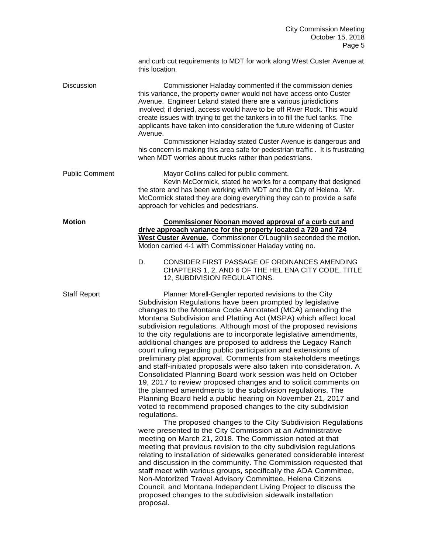|                       | and curb cut requirements to MDT for work along West Custer Avenue at<br>this location.                                                                                                                                                                                                                                                                                                                                                                                                                                                                                                                                                                                                                                                                                                                                                                                                                                                                                                                                                                                                                                                                                                                                                                                                                                                                                                                                                                                                                                                                                                                                                                                                              |
|-----------------------|------------------------------------------------------------------------------------------------------------------------------------------------------------------------------------------------------------------------------------------------------------------------------------------------------------------------------------------------------------------------------------------------------------------------------------------------------------------------------------------------------------------------------------------------------------------------------------------------------------------------------------------------------------------------------------------------------------------------------------------------------------------------------------------------------------------------------------------------------------------------------------------------------------------------------------------------------------------------------------------------------------------------------------------------------------------------------------------------------------------------------------------------------------------------------------------------------------------------------------------------------------------------------------------------------------------------------------------------------------------------------------------------------------------------------------------------------------------------------------------------------------------------------------------------------------------------------------------------------------------------------------------------------------------------------------------------------|
| <b>Discussion</b>     | Commissioner Haladay commented if the commission denies<br>this variance, the property owner would not have access onto Custer<br>Avenue. Engineer Leland stated there are a various jurisdictions<br>involved; if denied, access would have to be off River Rock. This would<br>create issues with trying to get the tankers in to fill the fuel tanks. The<br>applicants have taken into consideration the future widening of Custer<br>Avenue.                                                                                                                                                                                                                                                                                                                                                                                                                                                                                                                                                                                                                                                                                                                                                                                                                                                                                                                                                                                                                                                                                                                                                                                                                                                    |
|                       | Commissioner Haladay stated Custer Avenue is dangerous and<br>his concern is making this area safe for pedestrian traffic. It is frustrating<br>when MDT worries about trucks rather than pedestrians.                                                                                                                                                                                                                                                                                                                                                                                                                                                                                                                                                                                                                                                                                                                                                                                                                                                                                                                                                                                                                                                                                                                                                                                                                                                                                                                                                                                                                                                                                               |
| <b>Public Comment</b> | Mayor Collins called for public comment.<br>Kevin McCormick, stated he works for a company that designed<br>the store and has been working with MDT and the City of Helena. Mr.<br>McCormick stated they are doing everything they can to provide a safe<br>approach for vehicles and pedestrians.                                                                                                                                                                                                                                                                                                                                                                                                                                                                                                                                                                                                                                                                                                                                                                                                                                                                                                                                                                                                                                                                                                                                                                                                                                                                                                                                                                                                   |
| <b>Motion</b>         | <b>Commissioner Noonan moved approval of a curb cut and</b><br>drive approach variance for the property located a 720 and 724<br>West Custer Avenue. Commissioner O'Loughlin seconded the motion.<br>Motion carried 4-1 with Commissioner Haladay voting no.                                                                                                                                                                                                                                                                                                                                                                                                                                                                                                                                                                                                                                                                                                                                                                                                                                                                                                                                                                                                                                                                                                                                                                                                                                                                                                                                                                                                                                         |
|                       | CONSIDER FIRST PASSAGE OF ORDINANCES AMENDING<br>D.<br>CHAPTERS 1, 2, AND 6 OF THE HEL ENA CITY CODE, TITLE<br>12, SUBDIVISION REGULATIONS.                                                                                                                                                                                                                                                                                                                                                                                                                                                                                                                                                                                                                                                                                                                                                                                                                                                                                                                                                                                                                                                                                                                                                                                                                                                                                                                                                                                                                                                                                                                                                          |
| <b>Staff Report</b>   | Planner Morell-Gengler reported revisions to the City<br>Subdivision Regulations have been prompted by legislative<br>changes to the Montana Code Annotated (MCA) amending the<br>Montana Subdivision and Platting Act (MSPA) which affect local<br>subdivision regulations. Although most of the proposed revisions<br>to the city regulations are to incorporate legislative amendments,<br>additional changes are proposed to address the Legacy Ranch<br>court ruling regarding public participation and extensions of<br>preliminary plat approval. Comments from stakeholders meetings<br>and staff-initiated proposals were also taken into consideration. A<br>Consolidated Planning Board work session was held on October<br>19, 2017 to review proposed changes and to solicit comments on<br>the planned amendments to the subdivision regulations. The<br>Planning Board held a public hearing on November 21, 2017 and<br>voted to recommend proposed changes to the city subdivision<br>regulations.<br>The proposed changes to the City Subdivision Regulations<br>were presented to the City Commission at an Administrative<br>meeting on March 21, 2018. The Commission noted at that<br>meeting that previous revision to the city subdivision regulations<br>relating to installation of sidewalks generated considerable interest<br>and discussion in the community. The Commission requested that<br>staff meet with various groups, specifically the ADA Committee,<br>Non-Motorized Travel Advisory Committee, Helena Citizens<br>Council, and Montana Independent Living Project to discuss the<br>proposed changes to the subdivision sidewalk installation<br>proposal. |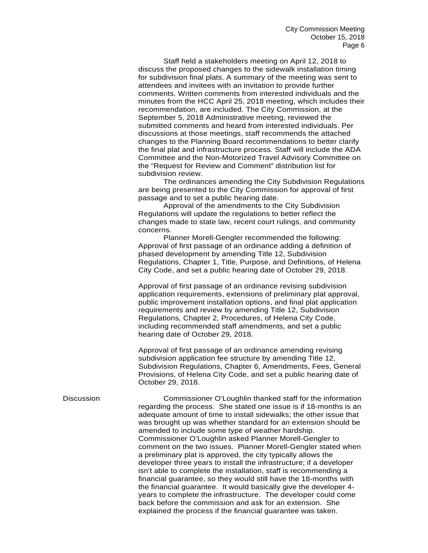Staff held a stakeholders meeting on April 12, 2018 to discuss the proposed changes to the sidewalk installation timing for subdivision final plats. A summary of the meeting was sent to attendees and invitees with an invitation to provide further comments. Written comments from interested individuals and the minutes from the HCC April 25, 2018 meeting, which includes their recommendation, are included. The City Commission, at the September 5, 2018 Administrative meeting, reviewed the submitted comments and heard from interested individuals. Per discussions at those meetings, staff recommends the attached changes to the Planning Board recommendations to better clarify the final plat and infrastructure process. Staff will include the ADA Committee and the Non-Motorized Travel Advisory Committee on the "Request for Review and Comment" distribution list for subdivision review.

The ordinances amending the City Subdivision Regulations are being presented to the City Commission for approval of first passage and to set a public hearing date.

Approval of the amendments to the City Subdivision Regulations will update the regulations to better reflect the changes made to state law, recent court rulings, and community concerns.

Planner Morell-Gengler recommended the following: Approval of first passage of an ordinance adding a definition of phased development by amending Title 12, Subdivision Regulations, Chapter 1, Title, Purpose, and Definitions, of Helena City Code, and set a public hearing date of October 29, 2018.

Approval of first passage of an ordinance revising subdivision application requirements, extensions of preliminary plat approval, public improvement installation options, and final plat application requirements and review by amending Title 12, Subdivision Regulations, Chapter 2, Procedures, of Helena City Code, including recommended staff amendments, and set a public hearing date of October 29, 2018.

Approval of first passage of an ordinance amending revising subdivision application fee structure by amending Title 12, Subdivision Regulations, Chapter 6, Amendments, Fees, General Provisions, of Helena City Code, and set a public hearing date of October 29, 2018.

Discussion Commissioner O'Loughlin thanked staff for the information regarding the process. She stated one issue is if 18-months is an adequate amount of time to install sidewalks; the other issue that was brought up was whether standard for an extension should be amended to include some type of weather hardship. Commissioner O'Loughlin asked Planner Morell-Gengler to comment on the two issues. Planner Morell-Gengler stated when a preliminary plat is approved, the city typically allows the developer three years to install the infrastructure; if a developer isn't able to complete the installation, staff is recommending a financial guarantee, so they would still have the 18-months with the financial guarantee. It would basically give the developer 4 years to complete the infrastructure. The developer could come back before the commission and ask for an extension. She explained the process if the financial guarantee was taken.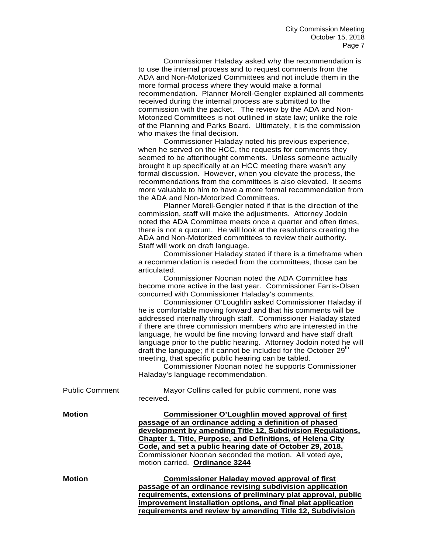Commissioner Haladay asked why the recommendation is to use the internal process and to request comments from the ADA and Non-Motorized Committees and not include them in the more formal process where they would make a formal recommendation. Planner Morell-Gengler explained all comments received during the internal process are submitted to the commission with the packet. The review by the ADA and Non-Motorized Committees is not outlined in state law; unlike the role of the Planning and Parks Board. Ultimately, it is the commission who makes the final decision.

Commissioner Haladay noted his previous experience, when he served on the HCC, the requests for comments they seemed to be afterthought comments. Unless someone actually brought it up specifically at an HCC meeting there wasn't any formal discussion. However, when you elevate the process, the recommendations from the committees is also elevated. It seems more valuable to him to have a more formal recommendation from the ADA and Non-Motorized Committees.

Planner Morell-Gengler noted if that is the direction of the commission, staff will make the adjustments. Attorney Jodoin noted the ADA Committee meets once a quarter and often times, there is not a quorum. He will look at the resolutions creating the ADA and Non-Motorized committees to review their authority. Staff will work on draft language.

Commissioner Haladay stated if there is a timeframe when a recommendation is needed from the committees, those can be articulated.

Commissioner Noonan noted the ADA Committee has become more active in the last year. Commissioner Farris-Olsen concurred with Commissioner Haladay's comments.

Commissioner O'Loughlin asked Commissioner Haladay if he is comfortable moving forward and that his comments will be addressed internally through staff. Commissioner Haladay stated if there are three commission members who are interested in the language, he would be fine moving forward and have staff draft language prior to the public hearing. Attorney Jodoin noted he will draft the language; if it cannot be included for the October 29<sup>th</sup> meeting, that specific public hearing can be tabled.

Commissioner Noonan noted he supports Commissioner Haladay's language recommendation.

| <b>Public Comment</b> | Mayor Collins called for public comment, none was<br>received.                                                                                                                                                                                                                                                                                                                                |
|-----------------------|-----------------------------------------------------------------------------------------------------------------------------------------------------------------------------------------------------------------------------------------------------------------------------------------------------------------------------------------------------------------------------------------------|
| <b>Motion</b>         | Commissioner O'Loughlin moved approval of first<br>passage of an ordinance adding a definition of phased<br>development by amending Title 12, Subdivision Regulations,<br>Chapter 1, Title, Purpose, and Definitions, of Helena City<br>Code, and set a public hearing date of October 29, 2018.<br>Commissioner Noonan seconded the motion. All voted aye,<br>motion carried. Ordinance 3244 |
| <b>Motion</b>         | <b>Commissioner Haladay moved approval of first</b><br>passage of an ordinance revising subdivision application<br>requirements, extensions of preliminary plat approval, public<br>improvement installation options, and final plat application<br>requirements and review by amending Title 12, Subdivision                                                                                 |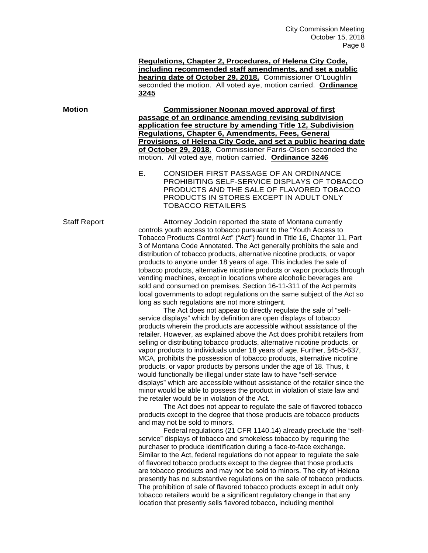**Regulations, Chapter 2, Procedures, of Helena City Code, including recommended staff amendments, and set a public hearing date of October 29, 2018.** Commissioner O'Loughlin seconded the motion. All voted aye, motion carried. **Ordinance 3245**

**Motion Commissioner Noonan moved approval of first passage of an ordinance amending revising subdivision application fee structure by amending Title 12, Subdivision Regulations, Chapter 6, Amendments, Fees, General Provisions, of Helena City Code, and set a public hearing date of October 29, 2018.** Commissioner Farris-Olsen seconded the motion. All voted aye, motion carried. **Ordinance 3246**

> E. CONSIDER FIRST PASSAGE OF AN ORDINANCE PROHIBITING SELF-SERVICE DISPLAYS OF TOBACCO PRODUCTS AND THE SALE OF FLAVORED TOBACCO PRODUCTS IN STORES EXCEPT IN ADULT ONLY TOBACCO RETAILERS

Staff Report **Attorney Jodoin reported the state of Montana currently** controls youth access to tobacco pursuant to the "Youth Access to Tobacco Products Control Act" ("Act") found in Title 16, Chapter 11, Part 3 of Montana Code Annotated. The Act generally prohibits the sale and distribution of tobacco products, alternative nicotine products, or vapor products to anyone under 18 years of age. This includes the sale of tobacco products, alternative nicotine products or vapor products through vending machines, except in locations where alcoholic beverages are sold and consumed on premises. Section 16-11-311 of the Act permits local governments to adopt regulations on the same subject of the Act so long as such regulations are not more stringent.

> The Act does not appear to directly regulate the sale of "selfservice displays" which by definition are open displays of tobacco products wherein the products are accessible without assistance of the retailer. However, as explained above the Act does prohibit retailers from selling or distributing tobacco products, alternative nicotine products, or vapor products to individuals under 18 years of age. Further, §45-5-637, MCA, prohibits the possession of tobacco products, alternative nicotine products, or vapor products by persons under the age of 18. Thus, it would functionally be illegal under state law to have "self-service displays" which are accessible without assistance of the retailer since the minor would be able to possess the product in violation of state law and the retailer would be in violation of the Act.

> The Act does not appear to regulate the sale of flavored tobacco products except to the degree that those products are tobacco products and may not be sold to minors.

> Federal regulations (21 CFR 1140.14) already preclude the "selfservice" displays of tobacco and smokeless tobacco by requiring the purchaser to produce identification during a face-to-face exchange. Similar to the Act, federal regulations do not appear to regulate the sale of flavored tobacco products except to the degree that those products are tobacco products and may not be sold to minors. The city of Helena presently has no substantive regulations on the sale of tobacco products. The prohibition of sale of flavored tobacco products except in adult only tobacco retailers would be a significant regulatory change in that any location that presently sells flavored tobacco, including menthol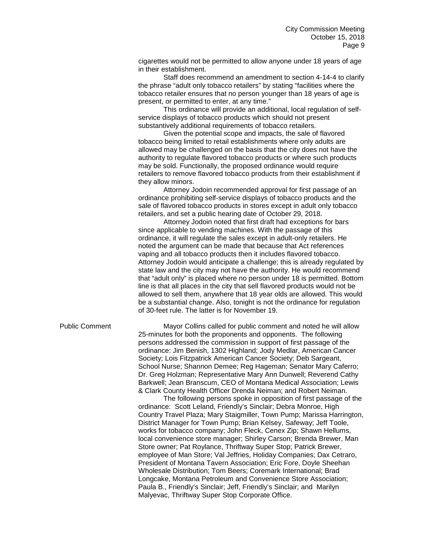cigarettes would not be permitted to allow anyone under 18 years of age in their establishment.

Staff does recommend an amendment to section 4-14-4 to clarify the phrase "adult only tobacco retailers" by stating "facilities where the tobacco retailer ensures that no person younger than 18 years of age is present, or permitted to enter, at any time."

This ordinance will provide an additional, local regulation of selfservice displays of tobacco products which should not present substantively additional requirements of tobacco retailers.

Given the potential scope and impacts, the sale of flavored tobacco being limited to retail establishments where only adults are allowed may be challenged on the basis that the city does not have the authority to regulate flavored tobacco products or where such products may be sold. Functionally, the proposed ordinance would require retailers to remove flavored tobacco products from their establishment if they allow minors.

Attorney Jodoin recommended approval for first passage of an ordinance prohibiting self-service displays of tobacco products and the sale of flavored tobacco products in stores except in adult only tobacco retailers, and set a public hearing date of October 29, 2018.

Attorney Jodoin noted that first draft had exceptions for bars since applicable to vending machines. With the passage of this ordinance, it will regulate the sales except in adult-only retailers. He noted the argument can be made that because that Act references vaping and all tobacco products then it includes flavored tobacco. Attorney Jodoin would anticipate a challenge; this is already regulated by state law and the city may not have the authority. He would recommend that "adult only" is placed where no person under 18 is permitted. Bottom line is that all places in the city that sell flavored products would not be allowed to sell them, anywhere that 18 year olds are allowed. This would be a substantial change. Also, tonight is not the ordinance for regulation of 30-feet rule. The latter is for November 19.

## Public Comment Mayor Collins called for public comment and noted he will allow 25-minutes for both the proponents and opponents. The following persons addressed the commission in support of first passage of the ordinance: Jim Benish, 1302 Highland; Jody Medlar, American Cancer Society; Lois Fitzpatrick American Cancer Society; Deb Sargeant, School Nurse; Shannon Demee; Reg Hageman; Senator Mary Caferro; Dr. Greg Holzman; Representative Mary Ann Dunwell; Reverend Cathy Barkwell; Jean Branscum, CEO of Montana Medical Association; Lewis & Clark County Health Officer Drenda Neiman; and Robert Neiman.

The following persons spoke in opposition of first passage of the ordinance: Scott Leland, Friendly's Sinclair; Debra Monroe, High Country Travel Plaza; Mary Staigmiller, Town Pump; Marissa Harrington, District Manager for Town Pump; Brian Kelsey, Safeway; Jeff Toole, works for tobacco company; John Fleck, Cenex Zip; Shawn Hellums, local convenience store manager; Shirley Carson; Brenda Brewer, Man Store owner; Pat Roylance, Thriftway Super Stop; Patrick Brewer, employee of Man Store; Val Jeffries, Holiday Companies; Dax Cetraro, President of Montana Tavern Association; Eric Fore, Doyle Sheehan Wholesale Distribution; Tom Beers; Coremark International; Brad Longcake, Montana Petroleum and Convenience Store Association; Paula B., Friendly's Sinclair; Jeff, Friendly's Sinclair; and Marilyn Malyevac, Thriftway Super Stop Corporate Office.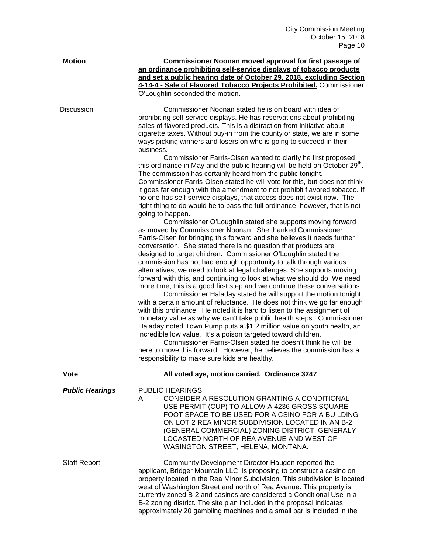| <b>Motion</b>          | Commissioner Noonan moved approval for first passage of<br>an ordinance prohibiting self-service displays of tobacco products<br>and set a public hearing date of October 29, 2018, excluding Section<br>4-14-4 - Sale of Flavored Tobacco Projects Prohibited. Commissioner<br>O'Loughlin seconded the motion.                                                                                                                                                                                                                                                                                                                                                                                                                                                                                                                                                                                                                                                                                                                                                                                                                                                                                                                                                                       |
|------------------------|---------------------------------------------------------------------------------------------------------------------------------------------------------------------------------------------------------------------------------------------------------------------------------------------------------------------------------------------------------------------------------------------------------------------------------------------------------------------------------------------------------------------------------------------------------------------------------------------------------------------------------------------------------------------------------------------------------------------------------------------------------------------------------------------------------------------------------------------------------------------------------------------------------------------------------------------------------------------------------------------------------------------------------------------------------------------------------------------------------------------------------------------------------------------------------------------------------------------------------------------------------------------------------------|
| <b>Discussion</b>      | Commissioner Noonan stated he is on board with idea of<br>prohibiting self-service displays. He has reservations about prohibiting<br>sales of flavored products. This is a distraction from initiative about<br>cigarette taxes. Without buy-in from the county or state, we are in some<br>ways picking winners and losers on who is going to succeed in their<br>business.                                                                                                                                                                                                                                                                                                                                                                                                                                                                                                                                                                                                                                                                                                                                                                                                                                                                                                         |
|                        | Commissioner Farris-Olsen wanted to clarify he first proposed<br>this ordinance in May and the public hearing will be held on October 29 <sup>th</sup> .<br>The commission has certainly heard from the public tonight.<br>Commissioner Farris-Olsen stated he will vote for this, but does not think<br>it goes far enough with the amendment to not prohibit flavored tobacco. If<br>no one has self-service displays, that access does not exist now. The<br>right thing to do would be to pass the full ordinance; however, that is not<br>going to happen.                                                                                                                                                                                                                                                                                                                                                                                                                                                                                                                                                                                                                                                                                                                       |
|                        | Commissioner O'Loughlin stated she supports moving forward<br>as moved by Commissioner Noonan. She thanked Commissioner<br>Farris-Olsen for bringing this forward and she believes it needs further<br>conversation. She stated there is no question that products are<br>designed to target children. Commissioner O'Loughlin stated the<br>commission has not had enough opportunity to talk through various<br>alternatives; we need to look at legal challenges. She supports moving<br>forward with this, and continuing to look at what we should do. We need<br>more time; this is a good first step and we continue these conversations.<br>Commissioner Haladay stated he will support the motion tonight<br>with a certain amount of reluctance. He does not think we go far enough<br>with this ordinance. He noted it is hard to listen to the assignment of<br>monetary value as why we can't take public health steps. Commissioner<br>Haladay noted Town Pump puts a \$1.2 million value on youth health, an<br>incredible low value. It's a poison targeted toward children.<br>Commissioner Farris-Olsen stated he doesn't think he will be<br>here to move this forward. However, he believes the commission has a<br>responsibility to make sure kids are healthy. |
| Vote                   | All voted aye, motion carried. Ordinance 3247                                                                                                                                                                                                                                                                                                                                                                                                                                                                                                                                                                                                                                                                                                                                                                                                                                                                                                                                                                                                                                                                                                                                                                                                                                         |
| <b>Public Hearings</b> | <b>PUBLIC HEARINGS:</b><br>CONSIDER A RESOLUTION GRANTING A CONDITIONAL<br>А.<br>USE PERMIT (CUP) TO ALLOW A 4236 GROSS SQUARE<br>FOOT SPACE TO BE USED FOR A CSINO FOR A BUILDING<br>ON LOT 2 REA MINOR SUBDIVISION LOCATED IN AN B-2<br>(GENERAL COMMERCIAL) ZONING DISTRICT, GENERALY<br>LOCASTED NORTH OF REA AVENUE AND WEST OF<br>WASINGTON STREET, HELENA, MONTANA.                                                                                                                                                                                                                                                                                                                                                                                                                                                                                                                                                                                                                                                                                                                                                                                                                                                                                                            |
| <b>Staff Report</b>    | Community Development Director Haugen reported the<br>applicant, Bridger Mountain LLC, is proposing to construct a casino on<br>property located in the Rea Minor Subdivision. This subdivision is located<br>west of Washington Street and north of Rea Avenue. This property is<br>currently zoned B-2 and casinos are considered a Conditional Use in a<br>B-2 zoning district. The site plan included in the proposal indicates<br>approximately 20 gambling machines and a small bar is included in the                                                                                                                                                                                                                                                                                                                                                                                                                                                                                                                                                                                                                                                                                                                                                                          |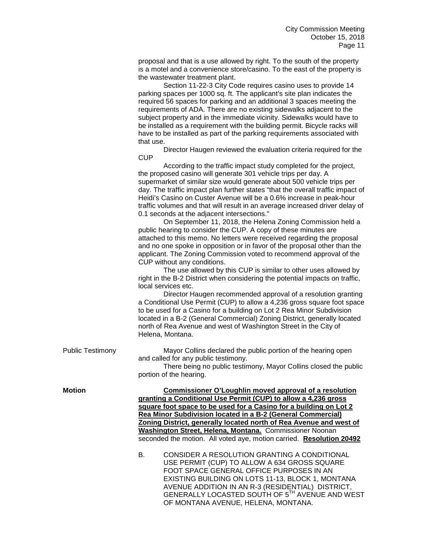proposal and that is a use allowed by right. To the south of the property is a motel and a convenience store/casino. To the east of the property is the wastewater treatment plant.

Section 11-22-3 City Code requires casino uses to provide 14 parking spaces per 1000 sq. ft. The applicant's site plan indicates the required 56 spaces for parking and an additional 3 spaces meeting the requirements of ADA. There are no existing sidewalks adjacent to the subject property and in the immediate vicinity. Sidewalks would have to be installed as a requirement with the building permit. Bicycle racks will have to be installed as part of the parking requirements associated with that use.

Director Haugen reviewed the evaluation criteria required for the **CUP** 

According to the traffic impact study completed for the project, the proposed casino will generate 301 vehicle trips per day. A supermarket of similar size would generate about 500 vehicle trips per day. The traffic impact plan further states "that the overall traffic impact of Heidi's Casino on Custer Avenue will be a 0.6% increase in peak-hour traffic volumes and that will result in an average increased driver delay of 0.1 seconds at the adjacent intersections."

On September 11, 2018, the Helena Zoning Commission held a public hearing to consider the CUP. A copy of these minutes are attached to this memo. No letters were received regarding the proposal and no one spoke in opposition or in favor of the proposal other than the applicant. The Zoning Commission voted to recommend approval of the CUP without any conditions.

The use allowed by this CUP is similar to other uses allowed by right in the B-2 District when considering the potential impacts on traffic, local services etc.

Director Haugen recommended approval of a resolution granting a Conditional Use Permit (CUP) to allow a 4,236 gross square foot space to be used for a Casino for a building on Lot 2 Rea Minor Subdivision located in a B-2 (General Commercial) Zoning District, generally located north of Rea Avenue and west of Washington Street in the City of Helena, Montana.

Public Testimony Mayor Collins declared the public portion of the hearing open and called for any public testimony.

> There being no public testimony, Mayor Collins closed the public portion of the hearing.

**Motion Commissioner O'Loughlin moved approval of a resolution granting a Conditional Use Permit (CUP) to allow a 4,236 gross square foot space to be used for a Casino for a building on Lot 2 Rea Minor Subdivision located in a B-2 (General Commercial) Zoning District, generally located north of Rea Avenue and west of Washington Street, Helena, Montana.** Commissioner Noonan seconded the motion. All voted aye, motion carried. **Resolution 20492**

> B. CONSIDER A RESOLUTION GRANTING A CONDITIONAL USE PERMIT (CUP) TO ALLOW A 634 GROSS SQUARE FOOT SPACE GENERAL OFFICE PURPOSES IN AN EXISTING BUILDING ON LOTS 11-13, BLOCK 1, MONTANA AVENUE ADDITION IN AN R-3 (RESIDENTIAL) DISTRICT, GENERALLY LOCASTED SOUTH OF 5TH AVENUE AND WEST OF MONTANA AVENUE, HELENA, MONTANA.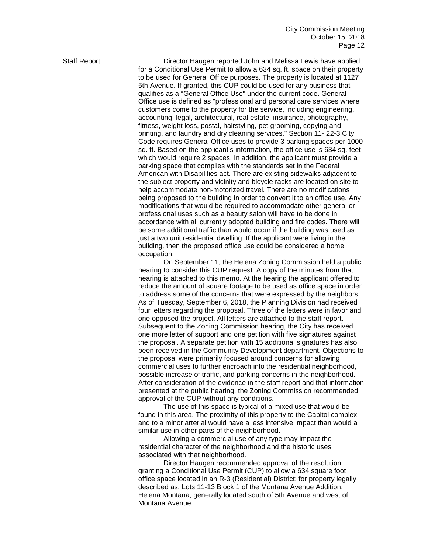Staff Report **Director Haugen reported John and Melissa Lewis have applied** for a Conditional Use Permit to allow a 634 sq. ft. space on their property to be used for General Office purposes. The property is located at 1127 5th Avenue. If granted, this CUP could be used for any business that qualifies as a "General Office Use" under the current code. General Office use is defined as "professional and personal care services where customers come to the property for the service, including engineering, accounting, legal, architectural, real estate, insurance, photography, fitness, weight loss, postal, hairstyling, pet grooming, copying and printing, and laundry and dry cleaning services." Section 11- 22-3 City Code requires General Office uses to provide 3 parking spaces per 1000 sq. ft. Based on the applicant's information, the office use is 634 sq. feet which would require 2 spaces. In addition, the applicant must provide a parking space that complies with the standards set in the Federal American with Disabilities act. There are existing sidewalks adjacent to the subject property and vicinity and bicycle racks are located on site to help accommodate non-motorized travel. There are no modifications being proposed to the building in order to convert it to an office use. Any modifications that would be required to accommodate other general or professional uses such as a beauty salon will have to be done in accordance with all currently adopted building and fire codes. There will be some additional traffic than would occur if the building was used as just a two unit residential dwelling. If the applicant were living in the building, then the proposed office use could be considered a home occupation.

> On September 11, the Helena Zoning Commission held a public hearing to consider this CUP request. A copy of the minutes from that hearing is attached to this memo. At the hearing the applicant offered to reduce the amount of square footage to be used as office space in order to address some of the concerns that were expressed by the neighbors. As of Tuesday, September 6, 2018, the Planning Division had received four letters regarding the proposal. Three of the letters were in favor and one opposed the project. All letters are attached to the staff report. Subsequent to the Zoning Commission hearing, the City has received one more letter of support and one petition with five signatures against the proposal. A separate petition with 15 additional signatures has also been received in the Community Development department. Objections to the proposal were primarily focused around concerns for allowing commercial uses to further encroach into the residential neighborhood, possible increase of traffic, and parking concerns in the neighborhood. After consideration of the evidence in the staff report and that information presented at the public hearing, the Zoning Commission recommended approval of the CUP without any conditions.

The use of this space is typical of a mixed use that would be found in this area. The proximity of this property to the Capitol complex and to a minor arterial would have a less intensive impact than would a similar use in other parts of the neighborhood.

Allowing a commercial use of any type may impact the residential character of the neighborhood and the historic uses associated with that neighborhood.

Director Haugen recommended approval of the resolution granting a Conditional Use Permit (CUP) to allow a 634 square foot office space located in an R-3 (Residential) District; for property legally described as: Lots 11-13 Block 1 of the Montana Avenue Addition, Helena Montana, generally located south of 5th Avenue and west of Montana Avenue.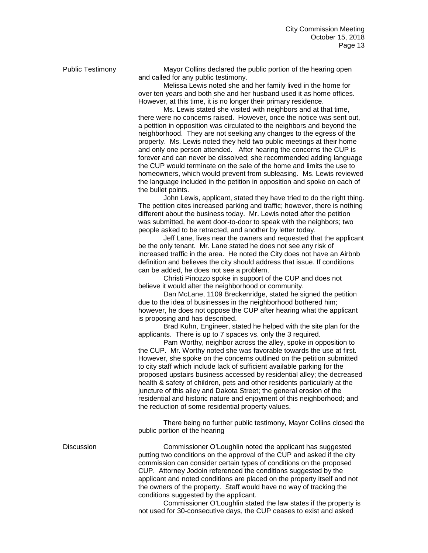Public Testimony Mayor Collins declared the public portion of the hearing open and called for any public testimony.

Melissa Lewis noted she and her family lived in the home for over ten years and both she and her husband used it as home offices. However, at this time, it is no longer their primary residence.

Ms. Lewis stated she visited with neighbors and at that time, there were no concerns raised. However, once the notice was sent out, a petition in opposition was circulated to the neighbors and beyond the neighborhood. They are not seeking any changes to the egress of the property. Ms. Lewis noted they held two public meetings at their home and only one person attended. After hearing the concerns the CUP is forever and can never be dissolved; she recommended adding language the CUP would terminate on the sale of the home and limits the use to homeowners, which would prevent from subleasing. Ms. Lewis reviewed the language included in the petition in opposition and spoke on each of the bullet points.

John Lewis, applicant, stated they have tried to do the right thing. The petition cites increased parking and traffic; however, there is nothing different about the business today. Mr. Lewis noted after the petition was submitted, he went door-to-door to speak with the neighbors; two people asked to be retracted, and another by letter today.

Jeff Lane, lives near the owners and requested that the applicant be the only tenant. Mr. Lane stated he does not see any risk of increased traffic in the area. He noted the City does not have an Airbnb definition and believes the city should address that issue. If conditions can be added, he does not see a problem.

Christi Pinozzo spoke in support of the CUP and does not believe it would alter the neighborhood or community.

Dan McLane, 1109 Breckenridge, stated he signed the petition due to the idea of businesses in the neighborhood bothered him; however, he does not oppose the CUP after hearing what the applicant is proposing and has described.

Brad Kuhn, Engineer, stated he helped with the site plan for the applicants. There is up to 7 spaces vs. only the 3 required.

Pam Worthy, neighbor across the alley, spoke in opposition to the CUP. Mr. Worthy noted she was favorable towards the use at first. However, she spoke on the concerns outlined on the petition submitted to city staff which include lack of sufficient available parking for the proposed upstairs business accessed by residential alley; the decreased health & safety of children, pets and other residents particularly at the juncture of this alley and Dakota Street; the general erosion of the residential and historic nature and enjoyment of this neighborhood; and the reduction of some residential property values.

There being no further public testimony, Mayor Collins closed the public portion of the hearing

Discussion Commissioner O'Loughlin noted the applicant has suggested putting two conditions on the approval of the CUP and asked if the city commission can consider certain types of conditions on the proposed CUP. Attorney Jodoin referenced the conditions suggested by the applicant and noted conditions are placed on the property itself and not the owners of the property. Staff would have no way of tracking the conditions suggested by the applicant.

> Commissioner O'Loughlin stated the law states if the property is not used for 30-consecutive days, the CUP ceases to exist and asked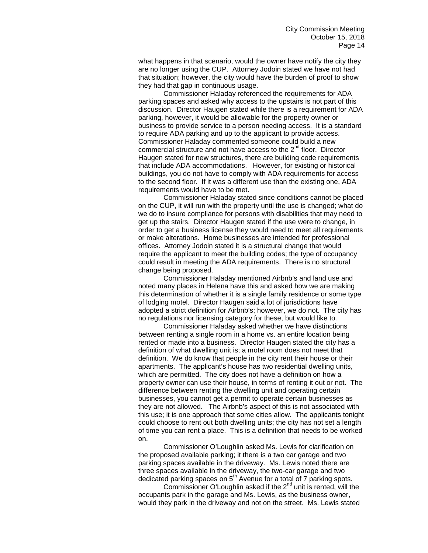what happens in that scenario, would the owner have notify the city they are no longer using the CUP. Attorney Jodoin stated we have not had that situation; however, the city would have the burden of proof to show they had that gap in continuous usage.

Commissioner Haladay referenced the requirements for ADA parking spaces and asked why access to the upstairs is not part of this discussion. Director Haugen stated while there is a requirement for ADA parking, however, it would be allowable for the property owner or business to provide service to a person needing access. It is a standard to require ADA parking and up to the applicant to provide access. Commissioner Haladay commented someone could build a new commercial structure and not have access to the 2<sup>nd</sup> floor. Director Haugen stated for new structures, there are building code requirements that include ADA accommodations. However, for existing or historical buildings, you do not have to comply with ADA requirements for access to the second floor. If it was a different use than the existing one, ADA requirements would have to be met.

Commissioner Haladay stated since conditions cannot be placed on the CUP, it will run with the property until the use is changed; what do we do to insure compliance for persons with disabilities that may need to get up the stairs. Director Haugen stated if the use were to change, in order to get a business license they would need to meet all requirements or make alterations. Home businesses are intended for professional offices. Attorney Jodoin stated it is a structural change that would require the applicant to meet the building codes; the type of occupancy could result in meeting the ADA requirements. There is no structural change being proposed.

Commissioner Haladay mentioned Airbnb's and land use and noted many places in Helena have this and asked how we are making this determination of whether it is a single family residence or some type of lodging motel. Director Haugen said a lot of jurisdictions have adopted a strict definition for Airbnb's; however, we do not. The city has no regulations nor licensing category for these, but would like to.

Commissioner Haladay asked whether we have distinctions between renting a single room in a home vs. an entire location being rented or made into a business. Director Haugen stated the city has a definition of what dwelling unit is; a motel room does not meet that definition. We do know that people in the city rent their house or their apartments. The applicant's house has two residential dwelling units, which are permitted. The city does not have a definition on how a property owner can use their house, in terms of renting it out or not. The difference between renting the dwelling unit and operating certain businesses, you cannot get a permit to operate certain businesses as they are not allowed. The Airbnb's aspect of this is not associated with this use; it is one approach that some cities allow. The applicants tonight could choose to rent out both dwelling units; the city has not set a length of time you can rent a place. This is a definition that needs to be worked on.

Commissioner O'Loughlin asked Ms. Lewis for clarification on the proposed available parking; it there is a two car garage and two parking spaces available in the driveway. Ms. Lewis noted there are three spaces available in the driveway, the two-car garage and two dedicated parking spaces on 5<sup>th</sup> Avenue for a total of 7 parking spots.

Commissioner O'Loughlin asked if the  $2^{nd}$  unit is rented, will the occupants park in the garage and Ms. Lewis, as the business owner, would they park in the driveway and not on the street. Ms. Lewis stated